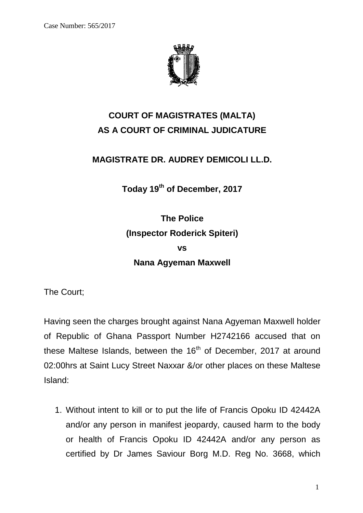

## **COURT OF MAGISTRATES (MALTA) AS A COURT OF CRIMINAL JUDICATURE**

## **MAGISTRATE DR. AUDREY DEMICOLI LL.D.**

**Today 19 th of December, 2017**

**The Police (Inspector Roderick Spiteri) vs Nana Agyeman Maxwell**

The Court;

Having seen the charges brought against Nana Agyeman Maxwell holder of Republic of Ghana Passport Number H2742166 accused that on these Maltese Islands, between the  $16<sup>th</sup>$  of December, 2017 at around 02:00hrs at Saint Lucy Street Naxxar &/or other places on these Maltese Island:

1. Without intent to kill or to put the life of Francis Opoku ID 42442A and/or any person in manifest jeopardy, caused harm to the body or health of Francis Opoku ID 42442A and/or any person as certified by Dr James Saviour Borg M.D. Reg No. 3668, which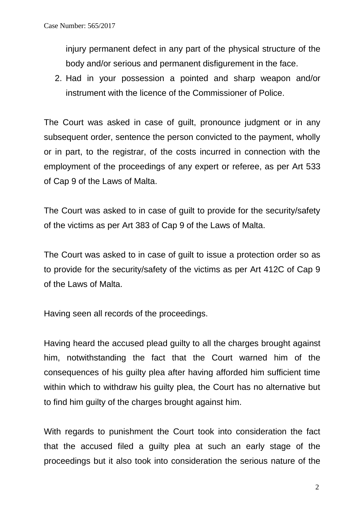injury permanent defect in any part of the physical structure of the body and/or serious and permanent disfigurement in the face.

2. Had in your possession a pointed and sharp weapon and/or instrument with the licence of the Commissioner of Police.

The Court was asked in case of guilt, pronounce judgment or in any subsequent order, sentence the person convicted to the payment, wholly or in part, to the registrar, of the costs incurred in connection with the employment of the proceedings of any expert or referee, as per Art 533 of Cap 9 of the Laws of Malta.

The Court was asked to in case of guilt to provide for the security/safety of the victims as per Art 383 of Cap 9 of the Laws of Malta.

The Court was asked to in case of guilt to issue a protection order so as to provide for the security/safety of the victims as per Art 412C of Cap 9 of the Laws of Malta.

Having seen all records of the proceedings.

Having heard the accused plead guilty to all the charges brought against him, notwithstanding the fact that the Court warned him of the consequences of his guilty plea after having afforded him sufficient time within which to withdraw his guilty plea, the Court has no alternative but to find him guilty of the charges brought against him.

With regards to punishment the Court took into consideration the fact that the accused filed a guilty plea at such an early stage of the proceedings but it also took into consideration the serious nature of the